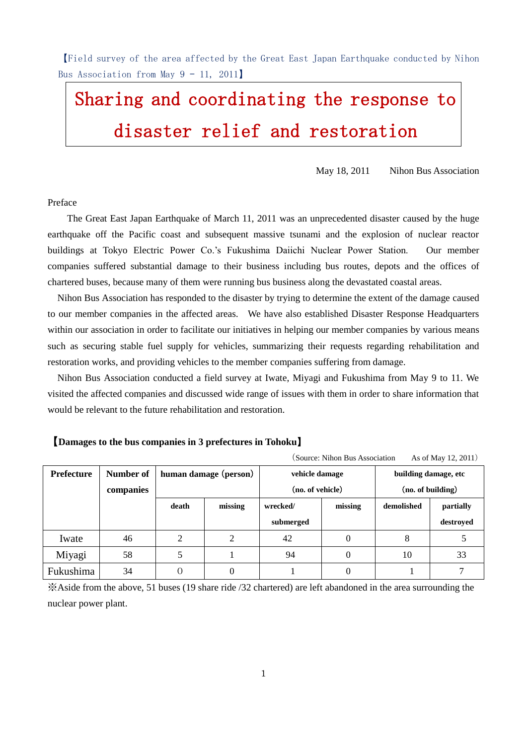【Field survey of the area affected by the Great East Japan Earthquake conducted by Nihon Bus Association from May  $9 - 11$ , 2011

# Sharing and coordinating the response to disaster relief and restoration

May 18, 2011 Nihon Bus Association

Preface

The Great East Japan Earthquake of March 11, 2011 was an unprecedented disaster caused by the huge earthquake off the Pacific coast and subsequent massive tsunami and the explosion of nuclear reactor buildings at Tokyo Electric Power Co.'s Fukushima Daiichi Nuclear Power Station. Our member companies suffered substantial damage to their business including bus routes, depots and the offices of chartered buses, because many of them were running bus business along the devastated coastal areas.

Nihon Bus Association has responded to the disaster by trying to determine the extent of the damage caused to our member companies in the affected areas. We have also established Disaster Response Headquarters within our association in order to facilitate our initiatives in helping our member companies by various means such as securing stable fuel supply for vehicles, summarizing their requests regarding rehabilitation and restoration works, and providing vehicles to the member companies suffering from damage.

Nihon Bus Association conducted a field survey at Iwate, Miyagi and Fukushima from May 9 to 11. We visited the affected companies and discussed wide range of issues with them in order to share information that would be relevant to the future rehabilitation and restoration.

#### 【**Damages to the bus companies in 3 prefectures in Tohoku**】

(Source: Nihon Bus Association As of May 12, 2011)

| Prefecture | Number of<br>companies | human damage (person) |         | vehicle damage<br>(no. of vehicle) |         | building damage, etc<br>(no. of building) |           |
|------------|------------------------|-----------------------|---------|------------------------------------|---------|-------------------------------------------|-----------|
|            |                        | death                 | missing | wrecked/                           | missing | demolished                                | partially |
|            |                        |                       |         | submerged                          |         |                                           | destroyed |
| Iwate      | 46                     | ◠                     |         | 42                                 |         | ð                                         |           |
| Miyagi     | 58                     |                       |         | 94                                 |         | 10                                        | 33        |
| Fukushima  | 34                     |                       | 0       |                                    |         |                                           |           |

※Aside from the above, 51 buses (19 share ride /32 chartered) are left abandoned in the area surrounding the nuclear power plant.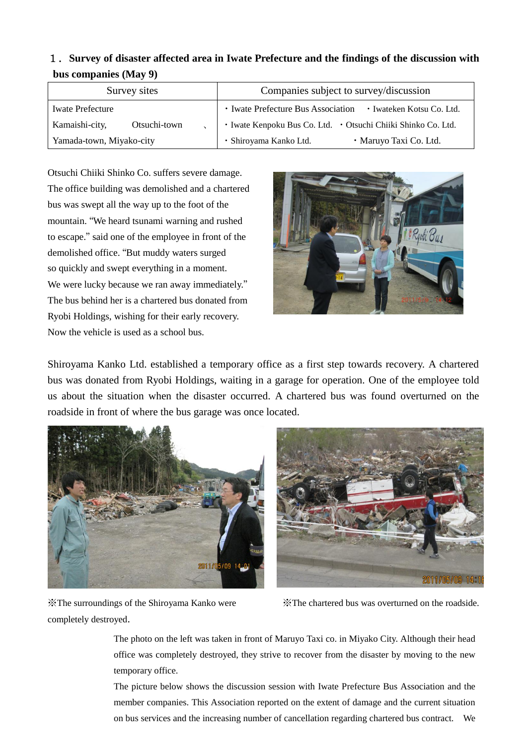# 1.**Survey of disaster affected area in Iwate Prefecture and the findings of the discussion with bus companies (May 9)**

| Survey sites                   | Companies subject to survey/discussion                          |  |  |
|--------------------------------|-----------------------------------------------------------------|--|--|
| <b>Iwate Prefecture</b>        | • Iwate Prefecture Bus Association<br>• Iwateken Kotsu Co. Ltd. |  |  |
| Kamaishi-city,<br>Otsuchi-town | · Iwate Kenpoku Bus Co. Ltd. · Otsuchi Chiiki Shinko Co. Ltd.   |  |  |
| Yamada-town, Miyako-city       | · Maruyo Taxi Co. Ltd.<br>· Shiroyama Kanko Ltd.                |  |  |

Otsuchi Chiiki Shinko Co. suffers severe damage. The office building was demolished and a chartered bus was swept all the way up to the foot of the mountain. "We heard tsunami warning and rushed to escape." said one of the employee in front of the demolished office. "But muddy waters surged so quickly and swept everything in a moment. We were lucky because we ran away immediately." The bus behind her is a chartered bus donated from Ryobi Holdings, wishing for their early recovery. Now the vehicle is used as a school bus.



Shiroyama Kanko Ltd. established a temporary office as a first step towards recovery. A chartered bus was donated from Ryobi Holdings, waiting in a garage for operation. One of the employee told us about the situation when the disaster occurred. A chartered bus was found overturned on the roadside in front of where the bus garage was once located.





completely destroyed.

※The surroundings of the Shiroyama Kanko were ※The chartered bus was overturned on the roadside.

The photo on the left was taken in front of Maruyo Taxi co. in Miyako City. Although their head office was completely destroyed, they strive to recover from the disaster by moving to the new temporary office.

The picture below shows the discussion session with Iwate Prefecture Bus Association and the member companies. This Association reported on the extent of damage and the current situation on bus services and the increasing number of cancellation regarding chartered bus contract. We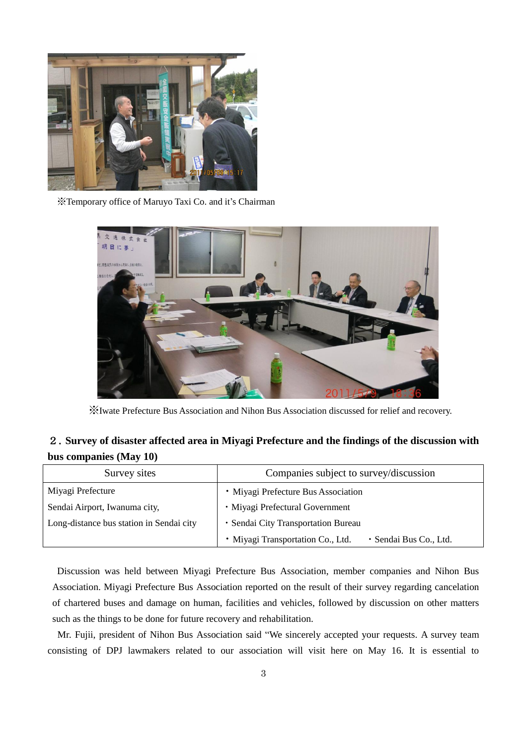

※Temporary office of Maruyo Taxi Co. and it's Chairman



※Iwate Prefecture Bus Association and Nihon Bus Association discussed for relief and recovery.

## 2.**Survey of disaster affected area in Miyagi Prefecture and the findings of the discussion with bus companies (May 10)**

| Survey sites                             | Companies subject to survey/discussion                      |  |  |
|------------------------------------------|-------------------------------------------------------------|--|--|
| Miyagi Prefecture                        | • Miyagi Prefecture Bus Association                         |  |  |
| Sendai Airport, Iwanuma city,            | · Miyagi Prefectural Government                             |  |  |
| Long-distance bus station in Sendai city | · Sendai City Transportation Bureau                         |  |  |
|                                          | · Miyagi Transportation Co., Ltd.<br>· Sendai Bus Co., Ltd. |  |  |

Discussion was held between Miyagi Prefecture Bus Association, member companies and Nihon Bus Association. Miyagi Prefecture Bus Association reported on the result of their survey regarding cancelation of chartered buses and damage on human, facilities and vehicles, followed by discussion on other matters such as the things to be done for future recovery and rehabilitation.

Mr. Fujii, president of Nihon Bus Association said "We sincerely accepted your requests. A survey team consisting of DPJ lawmakers related to our association will visit here on May 16. It is essential to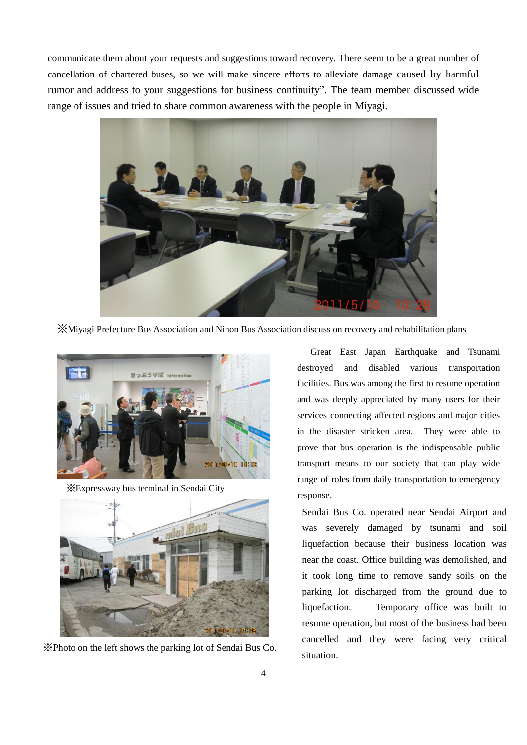communicate them about your requests and suggestions toward recovery. There seem to be a great number of cancellation of chartered buses, so we will make sincere efforts to alleviate damage caused by harmful rumor and address to your suggestions for business continuity". The team member discussed wide range of issues and tried to share common awareness with the people in Miyagi.



※Miyagi Prefecture Bus Association and Nihon Bus Association discuss on recovery and rehabilitation plans



※Expressway bus terminal in Sendai City



※Photo on the left shows the parking lot of Sendai Bus Co.

Great East Japan Earthquake and Tsunami destroyed and disabled various transportation facilities. Bus was among the first to resume operation and was deeply appreciated by many users for their services connecting affected regions and major cities in the disaster stricken area. They were able to prove that bus operation is the indispensable public transport means to our society that can play wide range of roles from daily transportation to emergency response.

 Sendai Bus Co. operated near Sendai Airport and was severely damaged by tsunami and soil liquefaction because their business location was near the coast. Office building was demolished, and it took long time to remove sandy soils on the parking lot discharged from the ground due to liquefaction. Temporary office was built to resume operation, but most of the business had been cancelled and they were facing very critical situation.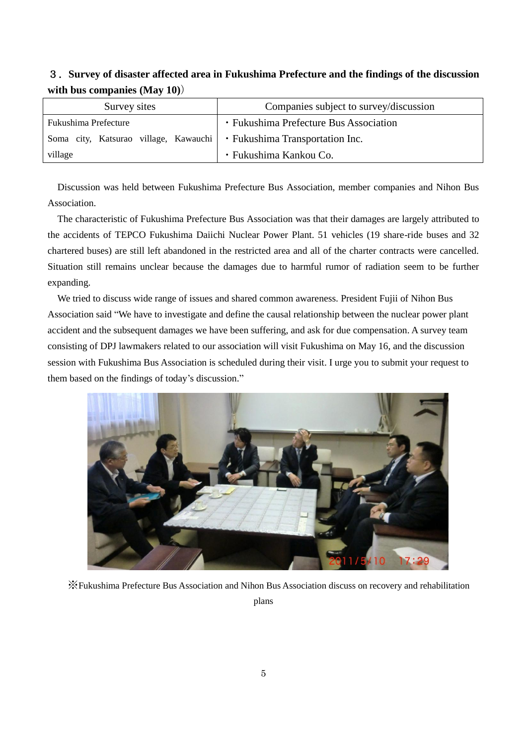### 3.**Survey of disaster affected area in Fukushima Prefecture and the findings of the discussion with bus companies (May 10)**)

| Survey sites                          | Companies subject to survey/discussion |  |  |
|---------------------------------------|----------------------------------------|--|--|
| Fukushima Prefecture                  | • Fukushima Prefecture Bus Association |  |  |
| Soma city, Katsurao village, Kawauchi | • Fukushima Transportation Inc.        |  |  |
| village                               | • Fukushima Kankou Co.                 |  |  |

Discussion was held between Fukushima Prefecture Bus Association, member companies and Nihon Bus Association.

The characteristic of Fukushima Prefecture Bus Association was that their damages are largely attributed to the accidents of TEPCO Fukushima Daiichi Nuclear Power Plant. 51 vehicles (19 share-ride buses and 32 chartered buses) are still left abandoned in the restricted area and all of the charter contracts were cancelled. Situation still remains unclear because the damages due to harmful rumor of radiation seem to be further expanding.

We tried to discuss wide range of issues and shared common awareness. President Fujii of Nihon Bus Association said "We have to investigate and define the causal relationship between the nuclear power plant accident and the subsequent damages we have been suffering, and ask for due compensation. A survey team consisting of DPJ lawmakers related to our association will visit Fukushima on May 16, and the discussion session with Fukushima Bus Association is scheduled during their visit. I urge you to submit your request to them based on the findings of today's discussion."



※Fukushima Prefecture Bus Association and Nihon Bus Association discuss on recovery and rehabilitation

plans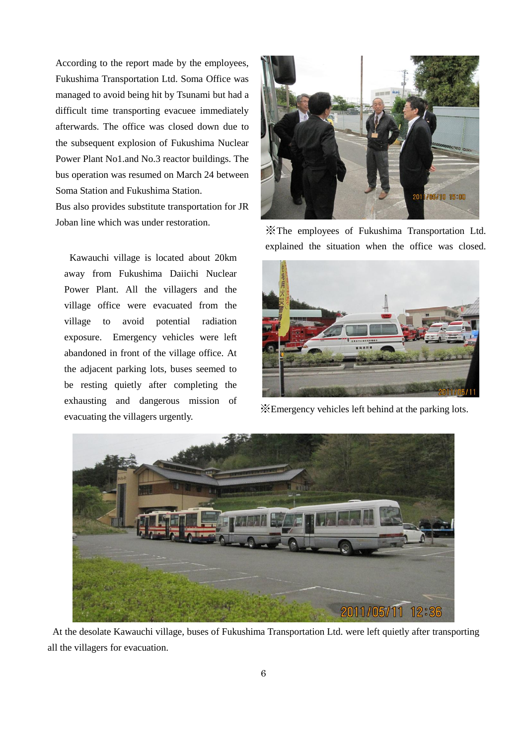According to the report made by the employees, Fukushima Transportation Ltd. Soma Office was managed to avoid being hit by Tsunami but had a difficult time transporting evacuee immediately afterwards. The office was closed down due to the subsequent explosion of Fukushima Nuclear Power Plant No1.and No.3 reactor buildings. The bus operation was resumed on March 24 between Soma Station and Fukushima Station.

Bus also provides substitute transportation for JR Joban line which was under restoration.

Kawauchi village is located about 20km away from Fukushima Daiichi Nuclear Power Plant. All the villagers and the village office were evacuated from the village to avoid potential radiation exposure. Emergency vehicles were left abandoned in front of the village office. At the adjacent parking lots, buses seemed to be resting quietly after completing the exhausting and dangerous mission of evacuating the villagers urgently.



※The employees of Fukushima Transportation Ltd. explained the situation when the office was closed.



※Emergency vehicles left behind at the parking lots.



At the desolate Kawauchi village, buses of Fukushima Transportation Ltd. were left quietly after transporting all the villagers for evacuation.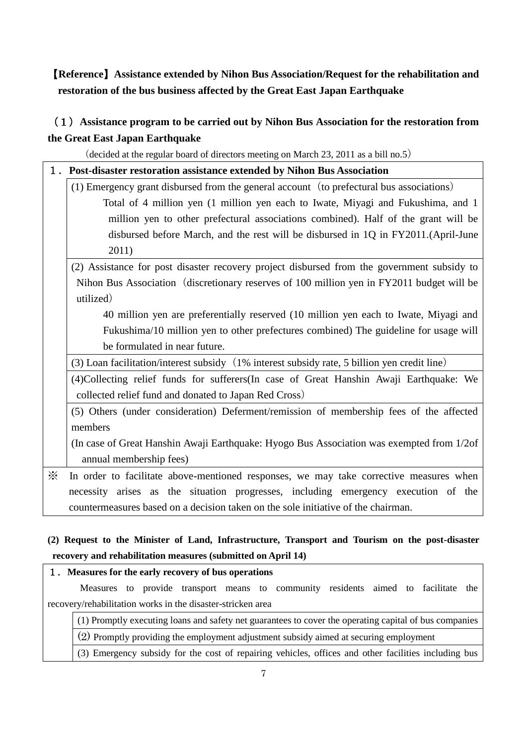# 【**Reference**】**Assistance extended by Nihon Bus Association/Request for the rehabilitation and restoration of the bus business affected by the Great East Japan Earthquake**

# (1)**Assistance program to be carried out by Nihon Bus Association for the restoration from the Great East Japan Earthquake**

(decided at the regular board of directors meeting on March 23, 2011 as a bill no.5)

|   | 1. Post-disaster restoration assistance extended by Nihon Bus Association                    |
|---|----------------------------------------------------------------------------------------------|
|   | (1) Emergency grant disbursed from the general account (to prefectural bus associations)     |
|   | Total of 4 million yen (1 million yen each to Iwate, Miyagi and Fukushima, and 1             |
|   | million yen to other prefectural associations combined). Half of the grant will be           |
|   | disbursed before March, and the rest will be disbursed in 1Q in FY2011.(April-June           |
|   | 2011)                                                                                        |
|   | (2) Assistance for post disaster recovery project disbursed from the government subsidy to   |
|   | Nihon Bus Association (discretionary reserves of 100 million yen in FY2011 budget will be    |
|   | utilized)                                                                                    |
|   | 40 million yen are preferentially reserved (10 million yen each to Iwate, Miyagi and         |
|   | Fukushima/10 million yen to other prefectures combined) The guideline for usage will         |
|   | be formulated in near future.                                                                |
|   | (3) Loan facilitation/interest subsidy (1% interest subsidy rate, 5 billion yen credit line) |
|   | (4) Collecting relief funds for sufferers (In case of Great Hanshin Awaji Earthquake: We     |
|   | collected relief fund and donated to Japan Red Cross)                                        |
|   | (5) Others (under consideration) Deferment/remission of membership fees of the affected      |
|   | members                                                                                      |
|   | (In case of Great Hanshin Awaji Earthquake: Hyogo Bus Association was exempted from 1/2of    |
|   | annual membership fees)                                                                      |
| ⋇ | In order to facilitate above-mentioned responses, we may take corrective measures when       |
|   | necessity arises as the situation progresses, including emergency execution of the           |
|   | countermeasures based on a decision taken on the sole initiative of the chairman.            |

## **(2) Request to the Minister of Land, Infrastructure, Transport and Tourism on the post-disaster recovery and rehabilitation measures (submitted on April 14)**

#### 1.**Measures for the early recovery of bus operations**

 Measures to provide transport means to community residents aimed to facilitate the recovery/rehabilitation works in the disaster-stricken area

(1) Promptly executing loans and safety net guarantees to cover the operating capital of bus companies

(2) Promptly providing the employment adjustment subsidy aimed at securing employment

(3) Emergency subsidy for the cost of repairing vehicles, offices and other facilities including bus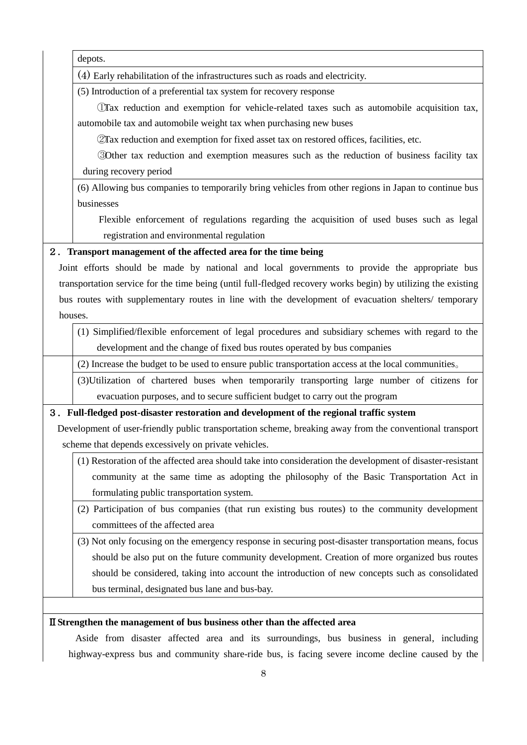|         | depots.                                                                                                       |
|---------|---------------------------------------------------------------------------------------------------------------|
|         | (4) Early rehabilitation of the infrastructures such as roads and electricity.                                |
|         | (5) Introduction of a preferential tax system for recovery response                                           |
|         | Tax reduction and exemption for vehicle-related taxes such as automobile acquisition tax,                     |
|         | automobile tax and automobile weight tax when purchasing new buses                                            |
|         | 2Tax reduction and exemption for fixed asset tax on restored offices, facilities, etc.                        |
|         | 30 ther tax reduction and exemption measures such as the reduction of business facility tax                   |
|         | during recovery period                                                                                        |
|         | (6) Allowing bus companies to temporarily bring vehicles from other regions in Japan to continue bus          |
|         | businesses                                                                                                    |
|         | Flexible enforcement of regulations regarding the acquisition of used buses such as legal                     |
|         | registration and environmental regulation                                                                     |
|         | 2. Transport management of the affected area for the time being                                               |
|         | Joint efforts should be made by national and local governments to provide the appropriate bus                 |
|         | transportation service for the time being (until full-fledged recovery works begin) by utilizing the existing |
|         | bus routes with supplementary routes in line with the development of evacuation shelters/ temporary           |
| houses. |                                                                                                               |
|         | (1) Simplified/flexible enforcement of legal procedures and subsidiary schemes with regard to the             |
|         | development and the change of fixed bus routes operated by bus companies                                      |
|         | (2) Increase the budget to be used to ensure public transportation access at the local communities.           |
|         | (3) Utilization of chartered buses when temporarily transporting large number of citizens for                 |
|         | evacuation purposes, and to secure sufficient budget to carry out the program                                 |
|         | 3. Full-fledged post-disaster restoration and development of the regional traffic system                      |
|         | Development of user-friendly public transportation scheme, breaking away from the conventional transport      |
|         | scheme that depends excessively on private vehicles.                                                          |
|         | (1) Restoration of the affected area should take into consideration the development of disaster-resistant     |
|         | community at the same time as adopting the philosophy of the Basic Transportation Act in                      |
|         | formulating public transportation system.                                                                     |
|         | (2) Participation of bus companies (that run existing bus routes) to the community development                |
|         | committees of the affected area                                                                               |
|         | (3) Not only focusing on the emergency response in securing post-disaster transportation means, focus         |
|         | should be also put on the future community development. Creation of more organized bus routes                 |
|         | should be considered, taking into account the introduction of new concepts such as consolidated               |
|         | bus terminal, designated bus lane and bus-bay.                                                                |
|         |                                                                                                               |
|         |                                                                                                               |

### Ⅱ**Strengthen the management of bus business other than the affected area**

 Aside from disaster affected area and its surroundings, bus business in general, including highway-express bus and community share-ride bus, is facing severe income decline caused by the